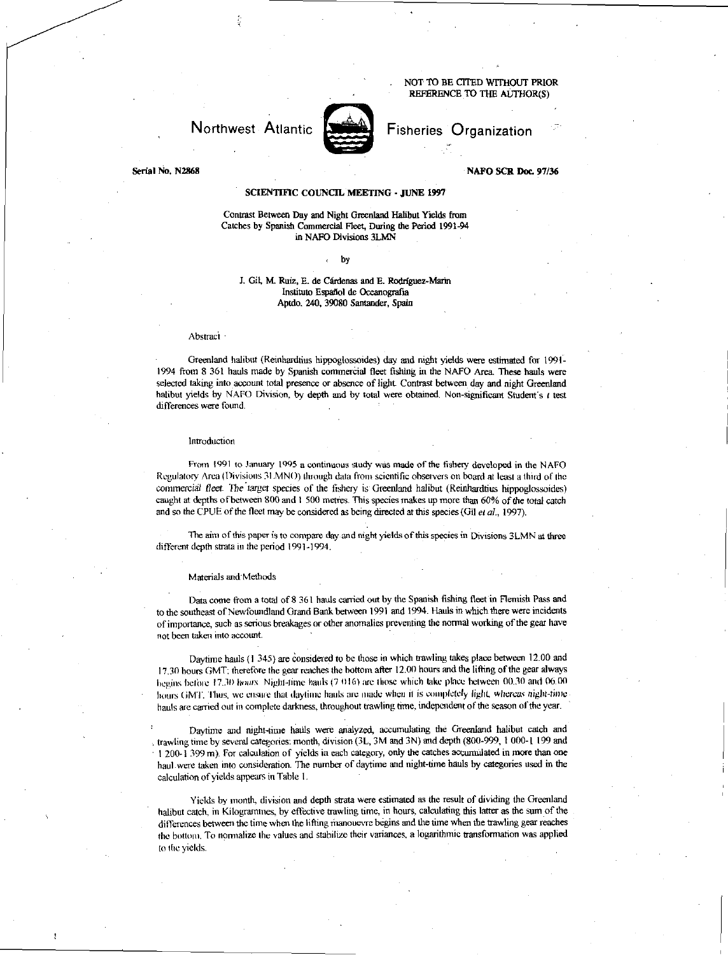# NOT TO BE CITED WITHOUT PRIOR REFERENCE TO THE AUTHOR(S)

Fisheries Organization

# Northwest Atlantic

Serial No. N2868 NAFO SCR Doc. 97/36

# SCIENTIFIC COUNCIL MEETING - JUNE 1997

Contrast Between Day and Night Greenland Halibut Yields from Catches by Spanish Commercial Fleet, During the Period 1991-94 in NAFO Divisions 3LMN

by

# J. Gil, M. Ruiz, E. de Cárdenas and E. Rodríguez-Marin Instituto Español de Oceanografia Aptdo. 240, 39080 Santander, Spain

#### Abstract

Greenland halibut (Reinhardtius hippoglossoides) day and night yields were estimated for 1991- 1994 from 8 361 hauls made by Spanish commercial fleet fishing in the NAFO Area These hauls were selected taking into account total presence or absence of light Contrast between day and night Greenland halibut yields by NAFO Division, by depth and by total were obtained. Non-significant Student's  $t$  test differences were found.

#### Introduction

From 1991 to January 1995 a continuous study was made of the fishery developed in the NAFO Regulatory Area (Divisions 31.MNO) through data from scientific observers on board at least a third of the commercial *fleet.* The target species of the fishery is Greenland halibut (Reinhardtius hippoglossoides) caught at depths of between 800 and 1 500 metres. This species makes up more than 60% of the total catch and so the CPUE of the fleet may be considered as being directed at this species (Gil *et al.,* 1997).

The aim of this paper is to compare day and night yields of this species in Divisions 3LMN at three different depth strata in the period 1991-1994.

#### Materials and Methods

Data come from a total of 8 361 hauls carried out by the Spanish fishing fleet in Flemish Pass and to the southeast of Newfoundland Grand Bank between 1991 and 1994. Hauls in which there were incidents of importance, such as serious breakages or other anomalies preventing the normal working of the gear have not been taken into account.

Daytime hauls (I 345) are Considered to be those in which trawling takes place between 12.00 and 17.30 hours GMT; therefore the gear reaches the bottom after 12.00 hours and the lifting of the gear always begins before 17.30 *liours*. Night-time hauls (7.016) are those which take place between 00.30 and 06.00 hours GMT. Thus. we ensure that daytime hauls are inade when it is completely light, *whereas* night-time hauls are carried out in complete darkness, throughout trawling time, independent of the season of the year.

Daytime and night-time hauls were analyzed, accumulating the Greenland halibut catch and trawling time by several categories: month, division (3L, 3M and 3N) and depth (800-999, 1 000-1 199 and • I 200-1 399 m). For calculation of yields in each category, only the catches accumulated in more than one haul were taken into consideration. The number of daytime and night-time hauls by categories used in the calculation of yields appears in Table I.

Yields by month, division and depth strata were estimated as the result of dividing the Greenland halibut catch, in Kilogrammes, by effective trawling time, in hours, calculating this latter as the sum of the differences between the time when the lifting manouevre begins and the time when the trawling gear reaches the bottom. To normalize the values and stabilize their variances, a logarithmic transformation was applied to the yields.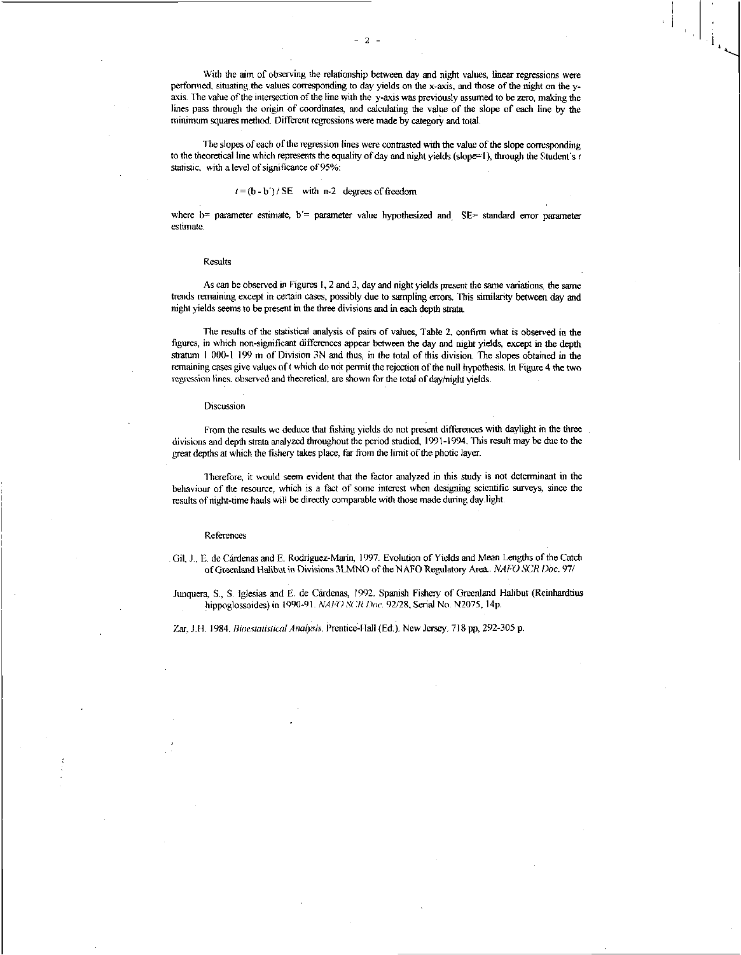With the aim of observing the relationship between day and night values, linear regressions were performed, situating the values corresponding to day yields on the x-axis, and those of the night on the yaxis. The value of the intersection of the line with the y-axis was previously assumed to be zero, making the lines pass through the origin of coordinates, and calculating the value of the slope of each line by the minimum squares method. Different regressions were made by category and total.

The slopes of each of the regression lines were contrasted with the value of the slope corresponding to the theoretical line which represents the equality of day and night yields (slope=1), through the Student's r statistic, with a level of significance of 95%:

# $t = (b - b') / SE$  with n-2 degrees of freedom

where  $b=$  parameter estimate,  $b'=$  parameter value hypothesized and SE= standard error parameter estimate.

## Results

As can be observed in Figures I, 2 and 3, day and night yields present the same variations, the same trends remaining except in certain cases, possibly due to sampling errors. This similarity between day and night yields seems to be present in the three divisions and in each depth strata

The results of the statistical analysis of pairs of values, Table 2, confirm what is observed in the figures, in which non-significant differences appear between the day and night yields, except in the depth stratum 1000-I 199 m of Division 3N and thus, in the total of this division. The slopes obtained in the remaining cases give values oft which do not permit the rejection of the null hypothesis. In Figure 4 the two regression lines, observed and theoretical, are shown for the total of day/night yields.

#### **Discussion**

From the results we deduce that fishing yields do not present differences with daylight in the three divisions and depth strata analyzed throughout the period studied, 1991-1994. This result may be due to the great depths at which the fishery takes place, far from the limit of the photic layer.

Therefore, it would seem evident that the factor analyzed in this study is not determinant in the behaviour of the resource, which is a fact of some interest when designing scientific surveys, since the results of night-time hauls will be directly comparable with those made during daylight.

# References

. Gil, J E. de Cardenas and E. Rodriguez-Marin, 1997. Evolution of Yields and Mean Lengths of the Catch of Greenland Halibut in Divisions 3LMNO of the NAFO Regulatory Area.. *NAM SCR Doc.* 97/

Junquera, S., S. Iglesias and E. de Cárdenas, 1992. Spanish Fishery of Greenland Halibut (Reinhardtius hippoglossoides) in 1990-91. *NAPO SCR Doe.* 92/28, Serial No. N2075, 14p.

Zar, J.H. 1984. *Bioestatistical Analysis*. Prentice-Hall (Ed.). New Jersey. 718 pp, 292-305 p.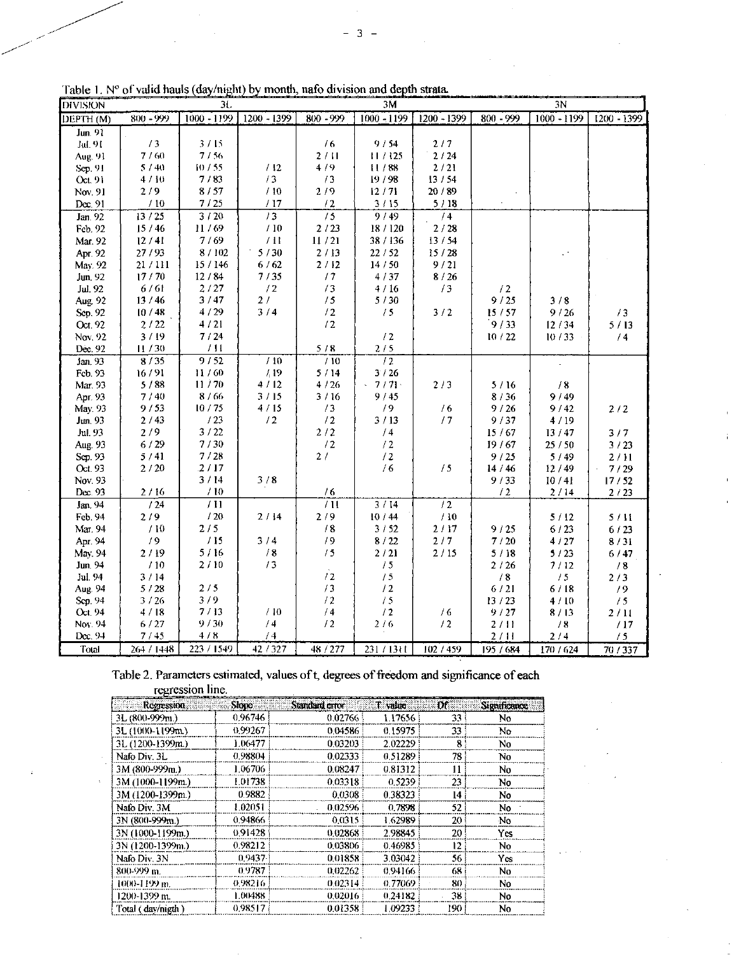| <b>DIVISION</b>      |              | 3L            |               |                 | 3M            |                 |                 | 3N            |             |
|----------------------|--------------|---------------|---------------|-----------------|---------------|-----------------|-----------------|---------------|-------------|
| DEPTH <sub>(M)</sub> | 800 - 999    | $1000 - 1199$ | $1200 - 1399$ | 800 - 999       | $1000 - 1199$ | 1200 - 1399     | 800 - 999       | $1000 - 1199$ | 1200 - 1399 |
| Jun. 91              |              |               |               |                 |               |                 |                 |               |             |
| Jul. 91              | 13           | 3/15          |               | /6              | 9/54          | 2/7             |                 |               |             |
| Aug. 91              | 7/60         | 7/56          |               | 2/11            | 11/125        | 2/24            |                 |               |             |
| Sep. 91              | 5/40         | 10/55         | /12           | 4/9             | 11/88         | 2/21            |                 |               |             |
| Oct.91               | 4/10         | 7/83          | /3            | /3              | 19/98         | 13/54           |                 |               |             |
| Nov. 91              | 2/9          | 8/57          | /10           | 2/9             | 12/71         | 20/89           |                 |               |             |
| Dec. 91              | /10          | 7/25          | /17           | /2              | 3/15          | 5/18            |                 |               |             |
| Jan. 92              | 13/25        | 3/20          | 13            | $\overline{15}$ | 9/49          | $\overline{74}$ |                 |               |             |
| Feb. 92              | 15/46        | 11/69         | /10           | 2/23            | 18/120        | 2/28            |                 |               |             |
| Mar. 92              | 12/41        | 7/69          | /11           | 11/21           | 38 / 136      | 13/54           |                 |               |             |
| Apr. 92              | 27/93        | 8/102         | 5/30          | 2/13            | 22/52         | 15/28           |                 |               |             |
| May. 92              | 21/111       | 15 / 146      | 6/62          | 2/12            | 14/50         | 9/21            |                 |               |             |
| Jun. 92              | 17/70        | 12/84         | 7/35          | /7              | 4/37          | 8/26            |                 |               |             |
| Jul. 92              | 6/61         | 2/27          | /2            | /3              | 4/16          | /3              | /2              |               |             |
| Aug. 92              | 13/46        | 3/47          | 2/            | /5              | 5/30          |                 | 9/25            | 3/8           |             |
| Sep. 92              | 10/48        | 4/29          | 3/4           | /2              | /5            | 3/2             | 15/57           | 9/26          | /3          |
| Oct. 92              | 2/22         | 4/21          |               | /2              |               |                 | 9/33            | 12/34         | 5/13        |
| Nov. 92              | 3/19         | 7/24          |               |                 | /2            |                 | 10/22           | 10/33         | /4          |
| Dec. 92              | 11/30        | /11           |               | 5/8             | 2/5           |                 |                 |               |             |
| Jan. 93              | 8/35         | 9/52          | /10           | 710             | $\sqrt{2}$    |                 |                 |               |             |
| Feb. 93              | 16/91        | 11/60         | /19           | 5/14            | 3/26          |                 |                 |               |             |
| Mar. 93              | 5/88         | 11/70         | 4/12          | 4/26            | 7/71          | 2/3             | 5/16            | /8            |             |
| Apr. 93              | 7/40         | 8/66          | 3/15          | 3/16            | 9/45          |                 | 8/36            | 9/49          |             |
| May. 93              | 9/53         | 10/75         | 4/15          | /3              | /9            | /6              | 9/26            | 9/42          | $2/2$       |
| Jun. 93              | 2/43         | /23           | /2            | $\sqrt{2}$      | 3/13          | 17              | 9/37            | 4/19          |             |
| Jul. 93              | 2/9          | 3/22          |               | 2/2             | /4            |                 | 15/67           | 13/47         | 3/7         |
| Aug. 93              | 6/29         | 7/30          |               | /2              | $\sqrt{2}$    |                 | 19/67           | 25/50         | 3/23        |
| Sep. 93              | 5/41         | 7/28          |               | 2/              | /2            |                 | 9/25            | 5/49          | 2/11        |
| Oct. 93              | 2/20         | 2/17          |               |                 | /6            | /5              | 14/46           | 12/49         | 7/29        |
| Nov. 93              |              | 3/14          | 3/8           |                 |               |                 | 9/33            | 10/41         | 17/52       |
| Dec. 93              | 2/16         | /10           |               | /6              |               |                 | $\sqrt{2}$      | 2/14          | 2/23        |
| Jan. 94              | 124          | /11           |               | /11             | 3/14          | /2              |                 |               |             |
| Feb. 94              | 2/9          | /20           | 2/14          | 2/9             | 10/44         | /10             |                 | 5/12          | 5/11        |
| Mar. 94              | /10          | 2/5           |               | /8              | 3/52          | 2/17            | 9/25            | 6/23          | 6/23        |
| Apr. 94              | 19           | /15           | 3/4           | /9              | 8/22          | 2/7             | $7\sqrt{20}$    | 4/27          | 8/31        |
| May. 94              | 2/19         | 5/16          | / 8           | 15              | 2/21          | 2/15            | 5/18            | 5/23          | 6/47        |
| Jun. 94              | /10          | 2/10          | 13            | /2              | /5            |                 | 2/26            | 7/12          | /3          |
| Jul. 94              | 3/14         | 2/5           |               | /3              | /5<br>/2      |                 | /8              | 15            | 2/3         |
| Aug. 94              | 5/28         | 3/9           |               | $\sqrt{2}$      | /5            |                 | 6/21            | 6/18          | /9          |
| Scp. 94<br>Oct. 94   | 3/26<br>4/18 | 7/13          | /10           | /4              | /2            | /6              | 13 / 23<br>9/27 | 4/10<br>8/13  | /5          |
| Nov. 94              | 6/27         | 9/30          | /4            | /2              | 2/6           | /2              | 2/11            | /8            | 2/11<br>/17 |
| Dcc. 94              | 7/45         | $4/8$         | /4            |                 |               |                 | 2/11            | 2/4           | /5          |
| Total                | 264 / 1448   | 223 / 1549    | 42 / 327      | 48 / 277        | 231/1311      | 102/459         | 195 / 684       | 170 / 624     | 70 / 337    |
|                      |              |               |               |                 |               |                 |                 |               |             |

Table 1. Nº of valid hauls (day/night) by month, nafo division and depth strata.

Table 2. Parameters estimated, values of t, degrees of freedom and significance of each regression line.

| Regression        | Slopo   | Standard error | T value | Df" | <b>Significance</b> |
|-------------------|---------|----------------|---------|-----|---------------------|
| 3L (800-999m.)    | 0.96746 | 0.02766        | 1.17656 | 33  | No                  |
| 3L (1000-1199m)   | 0.99267 | 0.04586        | 0.15975 | 33  | No                  |
| 3L (1200-1399m.)  | 1.06477 | 0.03203        | 2.02229 | 8   | No                  |
| Nafo Div. 3L      | 0.98804 | 0.02333        | 0.51289 | 78  | No                  |
| 3M (800-999m.)    | 1.06706 | 0.08247        | 0.81312 | 11  | No                  |
| 3M (1000-1199m.)  | 1.01738 | 0.03318        | 0.5239  | 23  | No                  |
| 3M (1200-1399m.)  | 0.9882  | 0.0308         | 0.38323 | 14  | No.                 |
| Nato Div. 3M      | 1.02051 | 0.02596        | 0.7898  | 52  | No.                 |
| 3N (800-999m.)    | 0.94866 | 0.0315         | 1.62989 | 20  | No                  |
| 3N (1000-1199m.)  | 0.91428 | 0.02868        | 2.98845 | 20  | Yes                 |
| 3N (1200-1399m.)  | 0.98212 | 0.03806        | 0.46985 | 12  | No                  |
| Nafo Div. 3N      | 0.9437  | 0.01858        | 3.03042 | 56  | Yes                 |
| 800-999 m.        | 0.9787  | 0.02262        | 0.94166 | 68  | No                  |
| 1000-1199 m.      | 0.98216 | 0.02314:       | 0.77069 | 80  | No                  |
| 1200-1399 m.      | 1.00488 | 0.02016:       | 0.24182 | 38  | No                  |
| Total (day/nigth) | 0.98517 | 0.01358        | 1.09233 | 190 | No                  |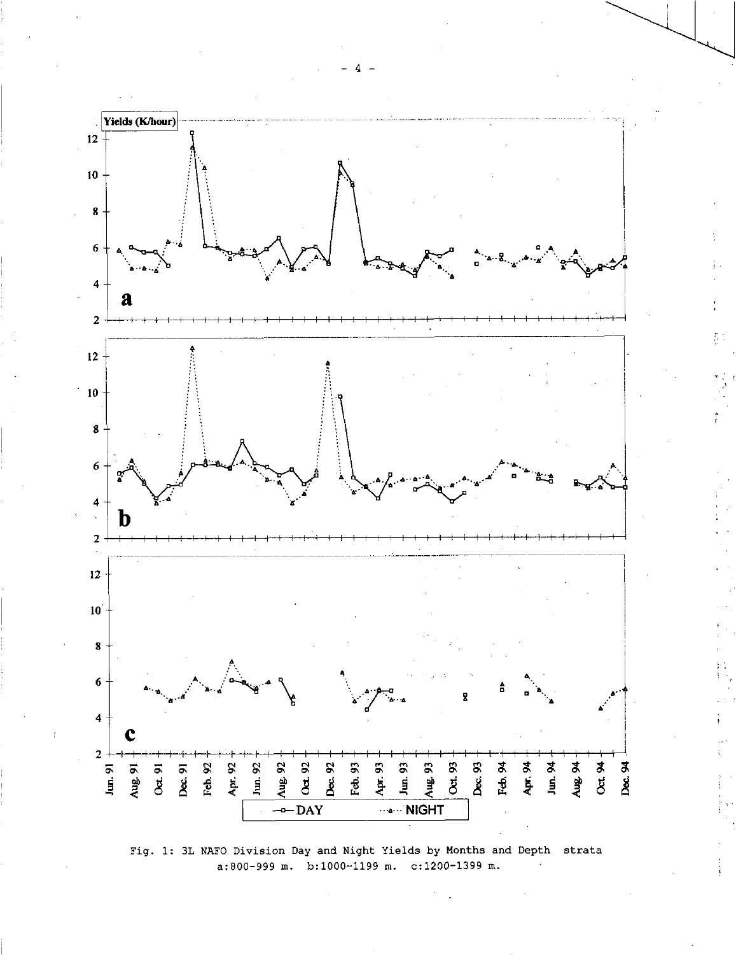

Fig. 1: 3L NAFO Division Day and Night Yields by Months and Depth strata a:800-999 m. b:1000-1199 m. c:1200-1399 m.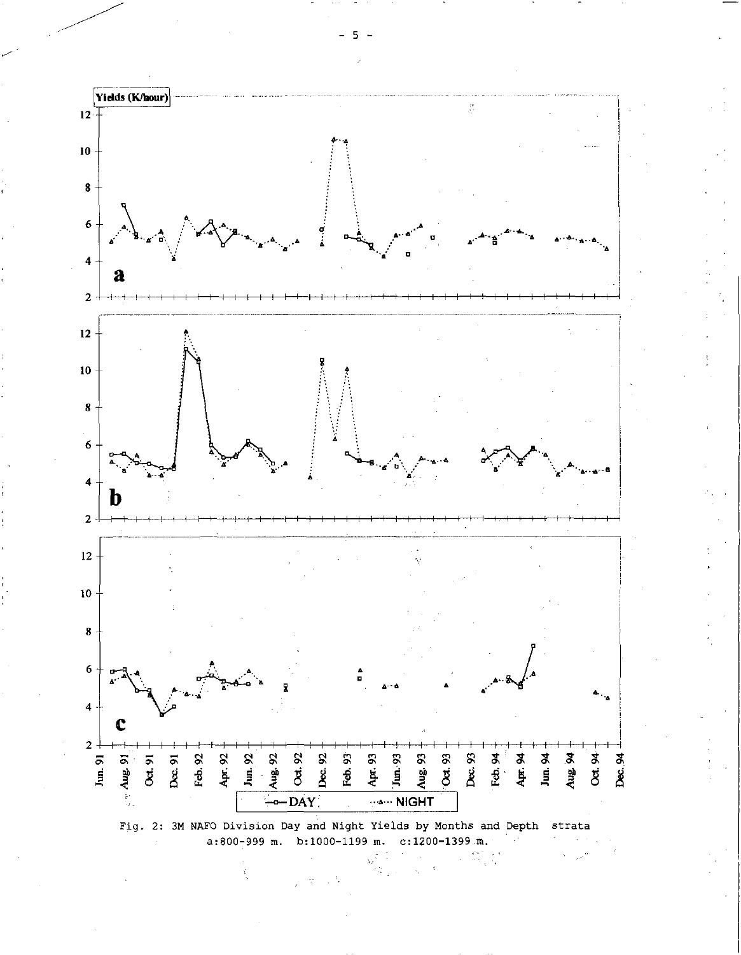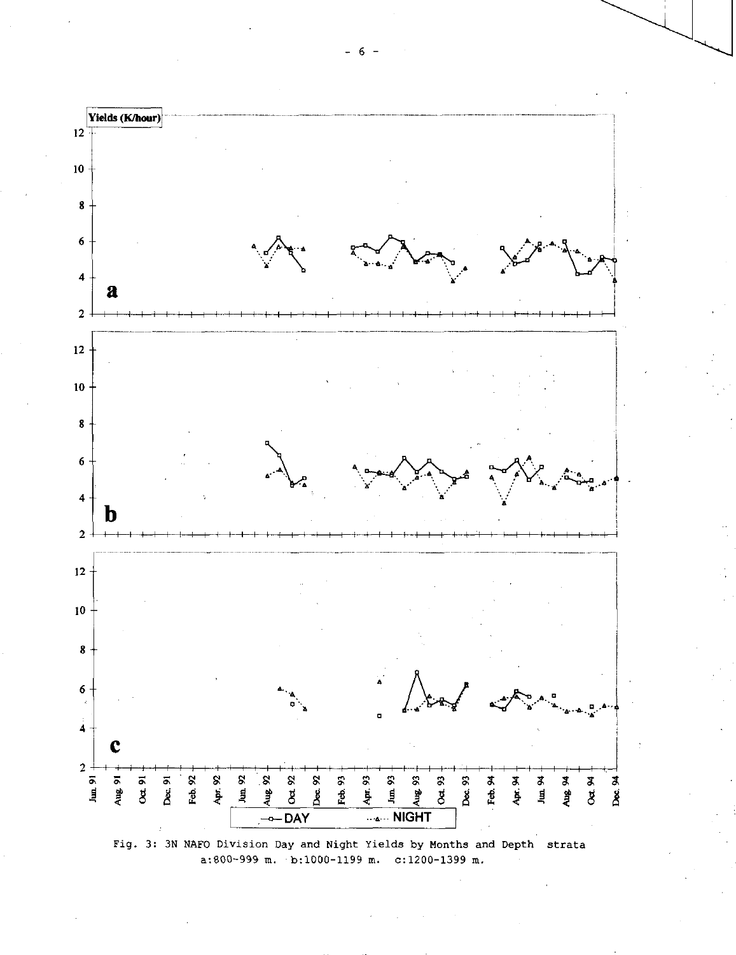



 $- 6 -$